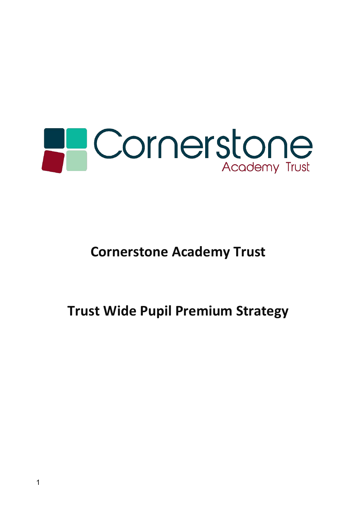

**Cornerstone Academy Trust** 

**Trust Wide Pupil Premium Strategy**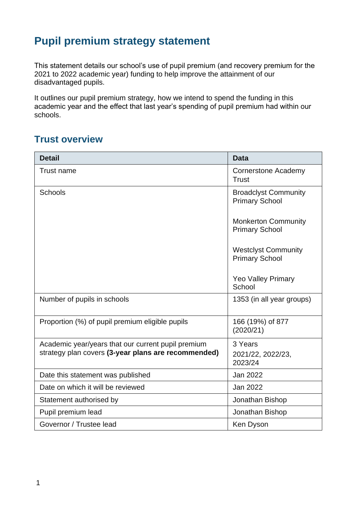# **Pupil premium strategy statement**

This statement details our school's use of pupil premium (and recovery premium for the 2021 to 2022 academic year) funding to help improve the attainment of our disadvantaged pupils.

It outlines our pupil premium strategy, how we intend to spend the funding in this academic year and the effect that last year's spending of pupil premium had within our schools.

## **Trust overview**

| <b>Detail</b>                                       | <b>Data</b>                                          |
|-----------------------------------------------------|------------------------------------------------------|
| <b>Trust name</b>                                   | Cornerstone Academy<br><b>Trust</b>                  |
| <b>Schools</b>                                      | <b>Broadclyst Community</b><br><b>Primary School</b> |
|                                                     | <b>Monkerton Community</b><br><b>Primary School</b>  |
|                                                     | <b>Westclyst Community</b><br><b>Primary School</b>  |
|                                                     | <b>Yeo Valley Primary</b><br>School                  |
| Number of pupils in schools                         | 1353 (in all year groups)                            |
| Proportion (%) of pupil premium eligible pupils     | 166 (19%) of 877<br>(2020/21)                        |
| Academic year/years that our current pupil premium  | 3 Years                                              |
| strategy plan covers (3-year plans are recommended) | 2021/22, 2022/23,<br>2023/24                         |
| Date this statement was published                   | Jan 2022                                             |
| Date on which it will be reviewed                   | Jan 2022                                             |
| Statement authorised by                             | Jonathan Bishop                                      |
| Pupil premium lead                                  | Jonathan Bishop                                      |
| Governor / Trustee lead                             | Ken Dyson                                            |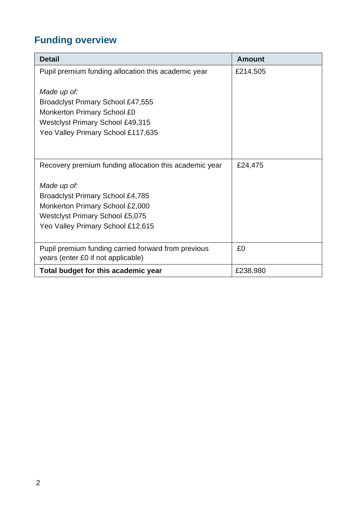# **Funding overview**

| <b>Detail</b>                                                                                                                                                            | Amount   |
|--------------------------------------------------------------------------------------------------------------------------------------------------------------------------|----------|
| Pupil premium funding allocation this academic year                                                                                                                      | £214,505 |
| Made up of:<br>Broadclyst Primary School £47,555<br><b>Monkerton Primary School £0</b><br><b>Westclyst Primary School £49,315</b><br>Yeo Valley Primary School £117,635  |          |
| Recovery premium funding allocation this academic year                                                                                                                   | £24,475  |
| Made up of:<br><b>Broadclyst Primary School £4,785</b><br>Monkerton Primary School £2,000<br><b>Westclyst Primary School £5,075</b><br>Yeo Valley Primary School £12,615 |          |
| Pupil premium funding carried forward from previous<br>years (enter £0 if not applicable)                                                                                | £0       |
| Total budget for this academic year                                                                                                                                      | £238,980 |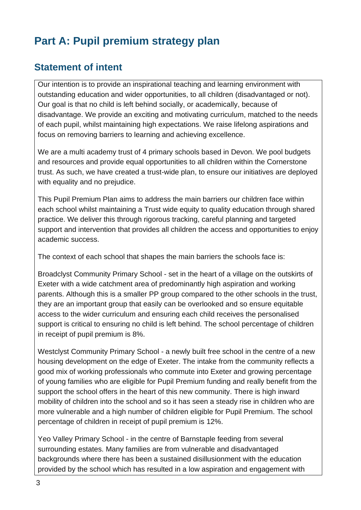# **Part A: Pupil premium strategy plan**

## **Statement of intent**

Our intention is to provide an inspirational teaching and learning environment with outstanding education and wider opportunities, to all children (disadvantaged or not). Our goal is that no child is left behind socially, or academically, because of disadvantage. We provide an exciting and motivating curriculum, matched to the needs of each pupil, whilst maintaining high expectations. We raise lifelong aspirations and focus on removing barriers to learning and achieving excellence.

We are a multi academy trust of 4 primary schools based in Devon. We pool budgets and resources and provide equal opportunities to all children within the Cornerstone trust. As such, we have created a trust-wide plan, to ensure our initiatives are deployed with equality and no prejudice.

This Pupil Premium Plan aims to address the main barriers our children face within each school whilst maintaining a Trust wide equity to quality education through shared practice. We deliver this through rigorous tracking, careful planning and targeted support and intervention that provides all children the access and opportunities to enjoy academic success.

The context of each school that shapes the main barriers the schools face is:

Broadclyst Community Primary School - set in the heart of a village on the outskirts of Exeter with a wide catchment area of predominantly high aspiration and working parents. Although this is a smaller PP group compared to the other schools in the trust, they are an important group that easily can be overlooked and so ensure equitable access to the wider curriculum and ensuring each child receives the personalised support is critical to ensuring no child is left behind. The school percentage of children in receipt of pupil premium is 8%.

Westclyst Community Primary School - a newly built free school in the centre of a new housing development on the edge of Exeter. The intake from the community reflects a good mix of working professionals who commute into Exeter and growing percentage of young families who are eligible for Pupil Premium funding and really benefit from the support the school offers in the heart of this new community. There is high inward mobility of children into the school and so it has seen a steady rise in children who are more vulnerable and a high number of children eligible for Pupil Premium. The school percentage of children in receipt of pupil premium is 12%.

Yeo Valley Primary School - in the centre of Barnstaple feeding from several surrounding estates. Many families are from vulnerable and disadvantaged backgrounds where there has been a sustained disillusionment with the education provided by the school which has resulted in a low aspiration and engagement with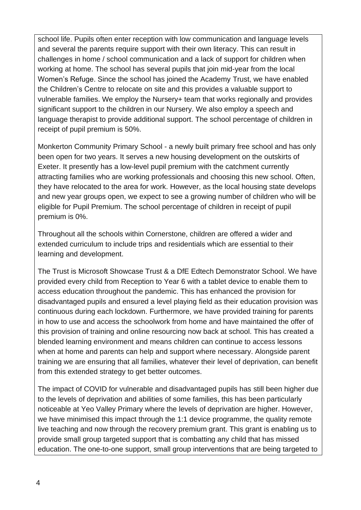school life. Pupils often enter reception with low communication and language levels and several the parents require support with their own literacy. This can result in challenges in home / school communication and a lack of support for children when working at home. The school has several pupils that join mid-year from the local Women's Refuge. Since the school has joined the Academy Trust, we have enabled the Children's Centre to relocate on site and this provides a valuable support to vulnerable families. We employ the Nursery+ team that works regionally and provides significant support to the children in our Nursery. We also employ a speech and language therapist to provide additional support. The school percentage of children in receipt of pupil premium is 50%.

Monkerton Community Primary School - a newly built primary free school and has only been open for two years. It serves a new housing development on the outskirts of Exeter. It presently has a low-level pupil premium with the catchment currently attracting families who are working professionals and choosing this new school. Often, they have relocated to the area for work. However, as the local housing state develops and new year groups open, we expect to see a growing number of children who will be eligible for Pupil Premium. The school percentage of children in receipt of pupil premium is 0%.

Throughout all the schools within Cornerstone, children are offered a wider and extended curriculum to include trips and residentials which are essential to their learning and development.

The Trust is Microsoft Showcase Trust & a DfE Edtech Demonstrator School. We have provided every child from Reception to Year 6 with a tablet device to enable them to access education throughout the pandemic. This has enhanced the provision for disadvantaged pupils and ensured a level playing field as their education provision was continuous during each lockdown. Furthermore, we have provided training for parents in how to use and access the schoolwork from home and have maintained the offer of this provision of training and online resourcing now back at school. This has created a blended learning environment and means children can continue to access lessons when at home and parents can help and support where necessary. Alongside parent training we are ensuring that all families, whatever their level of deprivation, can benefit from this extended strategy to get better outcomes.

The impact of COVID for vulnerable and disadvantaged pupils has still been higher due to the levels of deprivation and abilities of some families, this has been particularly noticeable at Yeo Valley Primary where the levels of deprivation are higher. However, we have minimised this impact through the 1:1 device programme, the quality remote live teaching and now through the recovery premium grant. This grant is enabling us to provide small group targeted support that is combatting any child that has missed education. The one-to-one support, small group interventions that are being targeted to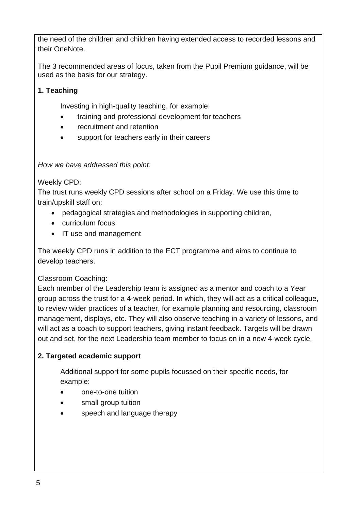the need of the children and children having extended access to recorded lessons and their OneNote.

The 3 recommended areas of focus, taken from the Pupil Premium guidance, will be used as the basis for our strategy.

#### **1. Teaching**

Investing in high-quality teaching, for example:

- training and professional development for teachers
- recruitment and retention
- support for teachers early in their careers

#### *How we have addressed this point:*

Weekly CPD:

The trust runs weekly CPD sessions after school on a Friday. We use this time to train/upskill staff on:

- pedagogical strategies and methodologies in supporting children,
- curriculum focus
- IT use and management

The weekly CPD runs in addition to the ECT programme and aims to continue to develop teachers.

#### Classroom Coaching:

Each member of the Leadership team is assigned as a mentor and coach to a Year group across the trust for a 4-week period. In which, they will act as a critical colleague, to review wider practices of a teacher, for example planning and resourcing, classroom management, displays, etc. They will also observe teaching in a variety of lessons, and will act as a coach to support teachers, giving instant feedback. Targets will be drawn out and set, for the next Leadership team member to focus on in a new 4-week cycle.

#### **2. Targeted academic support**

Additional support for some pupils focussed on their specific needs, for example:

- one-to-one tuition
- small group tuition
- speech and language therapy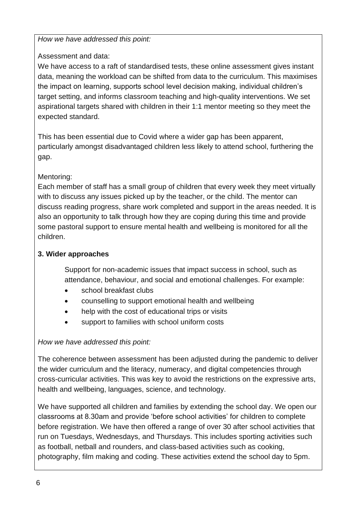#### *How we have addressed this point:*

#### Assessment and data:

We have access to a raft of standardised tests, these online assessment gives instant data, meaning the workload can be shifted from data to the curriculum. This maximises the impact on learning, supports school level decision making, individual children's target setting, and informs classroom teaching and high-quality interventions. We set aspirational targets shared with children in their 1:1 mentor meeting so they meet the expected standard.

This has been essential due to Covid where a wider gap has been apparent, particularly amongst disadvantaged children less likely to attend school, furthering the gap.

#### Mentoring:

Each member of staff has a small group of children that every week they meet virtually with to discuss any issues picked up by the teacher, or the child. The mentor can discuss reading progress, share work completed and support in the areas needed. It is also an opportunity to talk through how they are coping during this time and provide some pastoral support to ensure mental health and wellbeing is monitored for all the children.

#### **3. Wider approaches**

Support for non-academic issues that impact success in school, such as attendance, behaviour, and social and emotional challenges. For example:

- school breakfast clubs
- counselling to support emotional health and wellbeing
- help with the cost of educational trips or visits
- support to families with school uniform costs

#### *How we have addressed this point:*

The coherence between assessment has been adjusted during the pandemic to deliver the wider curriculum and the literacy, numeracy, and digital competencies through cross-curricular activities. This was key to avoid the restrictions on the expressive arts, health and wellbeing, languages, science, and technology.

We have supported all children and families by extending the school day. We open our classrooms at 8.30am and provide 'before school activities' for children to complete before registration. We have then offered a range of over 30 after school activities that run on Tuesdays, Wednesdays, and Thursdays. This includes sporting activities such as football, netball and rounders, and class-based activities such as cooking, photography, film making and coding. These activities extend the school day to 5pm.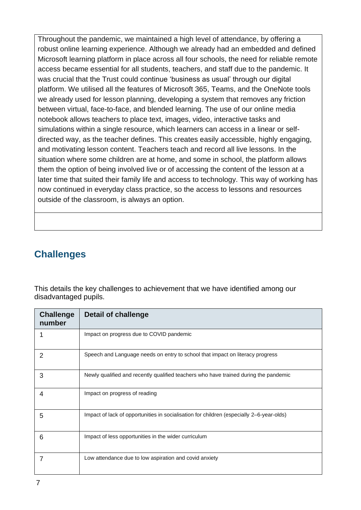Throughout the pandemic, we maintained a high level of attendance, by offering a robust online learning experience. Although we already had an embedded and defined Microsoft learning platform in place across all four schools, the need for reliable remote access became essential for all students, teachers, and staff due to the pandemic. It was crucial that the Trust could continue 'business as usual' through our digital platform. We utilised all the features of Microsoft 365, Teams, and the OneNote tools we already used for lesson planning, developing a system that removes any friction between virtual, face-to-face, and blended learning. The use of our online media notebook allows teachers to place text, images, video, interactive tasks and simulations within a single resource, which learners can access in a linear or selfdirected way, as the teacher defines. This creates easily accessible, highly engaging, and motivating lesson content. Teachers teach and record all live lessons. In the situation where some children are at home, and some in school, the platform allows them the option of being involved live or of accessing the content of the lesson at a later time that suited their family life and access to technology. This way of working has now continued in everyday class practice, so the access to lessons and resources outside of the classroom, is always an option.

## **Challenges**

This details the key challenges to achievement that we have identified among our disadvantaged pupils.

| <b>Challenge</b><br>number | <b>Detail of challenge</b>                                                               |
|----------------------------|------------------------------------------------------------------------------------------|
|                            | Impact on progress due to COVID pandemic                                                 |
| 2                          | Speech and Language needs on entry to school that impact on literacy progress            |
| 3                          | Newly qualified and recently qualified teachers who have trained during the pandemic     |
| 4                          | Impact on progress of reading                                                            |
| 5                          | Impact of lack of opportunities in socialisation for children (especially 2–6-year-olds) |
| 6                          | Impact of less opportunities in the wider curriculum                                     |
|                            | Low attendance due to low aspiration and covid anxiety                                   |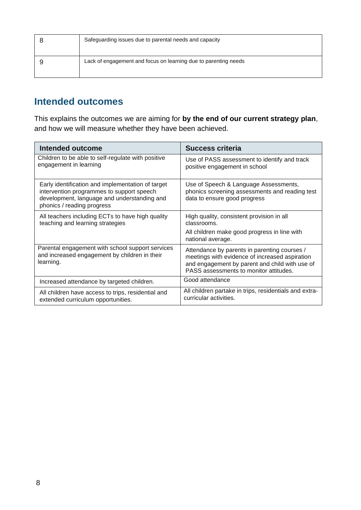| Safeguarding issues due to parental needs and capacity          |
|-----------------------------------------------------------------|
| Lack of engagement and focus on learning due to parenting needs |

## **Intended outcomes**

This explains the outcomes we are aiming for **by the end of our current strategy plan**, and how we will measure whether they have been achieved.

| <b>Intended outcome</b>                                                                                                                                                     | <b>Success criteria</b>                                                                                                                                                                    |
|-----------------------------------------------------------------------------------------------------------------------------------------------------------------------------|--------------------------------------------------------------------------------------------------------------------------------------------------------------------------------------------|
| Children to be able to self-regulate with positive<br>engagement in learning                                                                                                | Use of PASS assessment to identify and track<br>positive engagement in school                                                                                                              |
| Early identification and implementation of target<br>intervention programmes to support speech<br>development, language and understanding and<br>phonics / reading progress | Use of Speech & Language Assessments,<br>phonics screening assessments and reading test<br>data to ensure good progress                                                                    |
| All teachers including ECTs to have high quality<br>teaching and learning strategies                                                                                        | High quality, consistent provision in all<br>classrooms.                                                                                                                                   |
|                                                                                                                                                                             | All children make good progress in line with<br>national average.                                                                                                                          |
| Parental engagement with school support services<br>and increased engagement by children in their<br>learning.                                                              | Attendance by parents in parenting courses /<br>meetings with evidence of increased aspiration<br>and engagement by parent and child with use of<br>PASS assessments to monitor attitudes. |
| Increased attendance by targeted children.                                                                                                                                  | Good attendance                                                                                                                                                                            |
| All children have access to trips, residential and<br>extended curriculum opportunities.                                                                                    | All children partake in trips, residentials and extra-<br>curricular activities.                                                                                                           |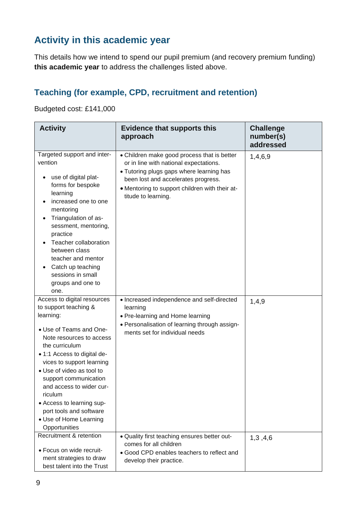## **Activity in this academic year**

This details how we intend to spend our pupil premium (and recovery premium funding) **this academic year** to address the challenges listed above.

## **Teaching (for example, CPD, recruitment and retention)**

Budgeted cost: £141,000

| <b>Activity</b>                                                                                                                                                                                                                                                                                                                                                                                        | <b>Evidence that supports this</b><br>approach                                                                                                                                                                                                    | <b>Challenge</b><br>number(s)<br>addressed |
|--------------------------------------------------------------------------------------------------------------------------------------------------------------------------------------------------------------------------------------------------------------------------------------------------------------------------------------------------------------------------------------------------------|---------------------------------------------------------------------------------------------------------------------------------------------------------------------------------------------------------------------------------------------------|--------------------------------------------|
| Targeted support and inter-<br>vention<br>use of digital plat-<br>forms for bespoke<br>learning<br>increased one to one<br>mentoring<br>Triangulation of as-<br>sessment, mentoring,<br>practice<br>Teacher collaboration<br>between class<br>teacher and mentor<br>Catch up teaching<br>sessions in small<br>groups and one to<br>one.                                                                | • Children make good process that is better<br>or in line with national expectations.<br>• Tutoring plugs gaps where learning has<br>been lost and accelerates progress.<br>• Mentoring to support children with their at-<br>titude to learning. | 1,4,6,9                                    |
| Access to digital resources<br>to support teaching &<br>learning:<br>• Use of Teams and One-<br>Note resources to access<br>the curriculum<br>• 1:1 Access to digital de-<br>vices to support learning<br>• Use of video as tool to<br>support communication<br>and access to wider cur-<br>riculum<br>• Access to learning sup-<br>port tools and software<br>• Use of Home Learning<br>Opportunities | • Increased independence and self-directed<br>learning<br>• Pre-learning and Home learning<br>• Personalisation of learning through assign-<br>ments set for individual needs                                                                     | 1,4,9                                      |
| Recruitment & retention<br>• Focus on wide recruit-<br>ment strategies to draw<br>best talent into the Trust                                                                                                                                                                                                                                                                                           | . Quality first teaching ensures better out-<br>comes for all children<br>• Good CPD enables teachers to reflect and<br>develop their practice.                                                                                                   | 1,3,4,6                                    |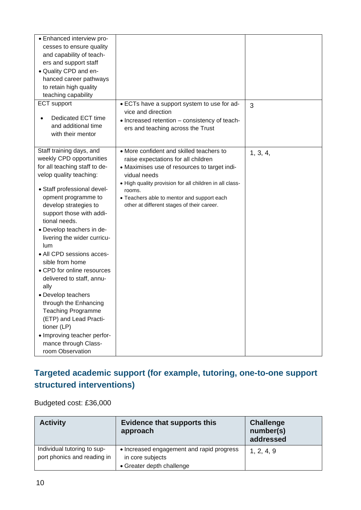| • Enhanced interview pro-<br>cesses to ensure quality<br>and capability of teach-<br>ers and support staff<br>· Quality CPD and en-<br>hanced career pathways<br>to retain high quality<br>teaching capability<br><b>ECT</b> support                                                                                                                                                                                                                                                                                                                                                                                               | • ECTs have a support system to use for ad-                                                                                                                                                                                                                                                                      | 3        |
|------------------------------------------------------------------------------------------------------------------------------------------------------------------------------------------------------------------------------------------------------------------------------------------------------------------------------------------------------------------------------------------------------------------------------------------------------------------------------------------------------------------------------------------------------------------------------------------------------------------------------------|------------------------------------------------------------------------------------------------------------------------------------------------------------------------------------------------------------------------------------------------------------------------------------------------------------------|----------|
| Dedicated ECT time<br>and additional time<br>with their mentor                                                                                                                                                                                                                                                                                                                                                                                                                                                                                                                                                                     | vice and direction<br>• Increased retention – consistency of teach-<br>ers and teaching across the Trust                                                                                                                                                                                                         |          |
| Staff training days, and<br>weekly CPD opportunities<br>for all teaching staff to de-<br>velop quality teaching:<br>• Staff professional devel-<br>opment programme to<br>develop strategies to<br>support those with addi-<br>tional needs.<br>• Develop teachers in de-<br>livering the wider curricu-<br>lum<br>• All CPD sessions acces-<br>sible from home<br>• CPD for online resources<br>delivered to staff, annu-<br>ally<br>• Develop teachers<br>through the Enhancing<br><b>Teaching Programme</b><br>(ETP) and Lead Practi-<br>tioner (LP)<br>• Improving teacher perfor-<br>mance through Class-<br>room Observation | • More confident and skilled teachers to<br>raise expectations for all children<br>• Maximises use of resources to target indi-<br>vidual needs<br>• High quality provision for all children in all class-<br>rooms.<br>• Teachers able to mentor and support each<br>other at different stages of their career. | 1, 3, 4, |

## **Targeted academic support (for example, tutoring, one-to-one support structured interventions)**

Budgeted cost: £36,000

| <b>Activity</b>                                            | <b>Evidence that supports this</b><br>approach                                             | <b>Challenge</b><br>number(s)<br>addressed |
|------------------------------------------------------------|--------------------------------------------------------------------------------------------|--------------------------------------------|
| Individual tutoring to sup-<br>port phonics and reading in | • Increased engagement and rapid progress<br>in core subjects<br>• Greater depth challenge | 1, 2, 4, 9                                 |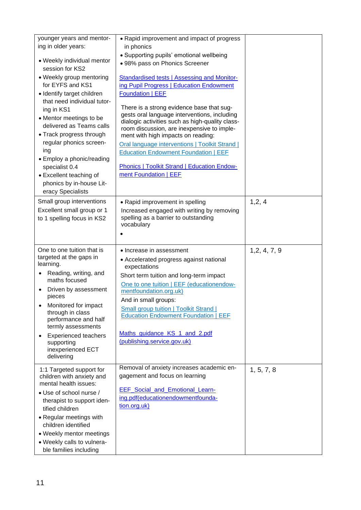| younger years and mentor-<br>ing in older years:                                                                                                                                                                                                                                                                                           | • Rapid improvement and impact of progress<br>in phonics                                                                                                                                                                                                                                                                                                                                                         |               |
|--------------------------------------------------------------------------------------------------------------------------------------------------------------------------------------------------------------------------------------------------------------------------------------------------------------------------------------------|------------------------------------------------------------------------------------------------------------------------------------------------------------------------------------------------------------------------------------------------------------------------------------------------------------------------------------------------------------------------------------------------------------------|---------------|
| • Weekly individual mentor<br>session for KS2                                                                                                                                                                                                                                                                                              | • Supporting pupils' emotional wellbeing<br>· 98% pass on Phonics Screener                                                                                                                                                                                                                                                                                                                                       |               |
| • Weekly group mentoring<br>for EYFS and KS1<br>· Identify target children                                                                                                                                                                                                                                                                 | Standardised tests   Assessing and Monitor-<br>ing Pupil Progress   Education Endowment<br><b>Foundation   EEF</b>                                                                                                                                                                                                                                                                                               |               |
| that need individual tutor-<br>ing in KS1<br>• Mentor meetings to be<br>delivered as Teams calls<br>• Track progress through<br>regular phonics screen-<br>ing<br>• Employ a phonic/reading<br>specialist 0.4<br>• Excellent teaching of<br>phonics by in-house Lit-<br>eracy Specialists                                                  | There is a strong evidence base that sug-<br>gests oral language interventions, including<br>dialogic activities such as high-quality class-<br>room discussion, are inexpensive to imple-<br>ment with high impacts on reading:<br>Oral language interventions   Toolkit Strand  <br><b>Education Endowment Foundation   EEF</b><br><b>Phonics   Toolkit Strand   Education Endow-</b><br>ment Foundation   EEF |               |
| Small group interventions<br>Excellent small group or 1<br>to 1 spelling focus in KS2                                                                                                                                                                                                                                                      | • Rapid improvement in spelling<br>Increased engaged with writing by removing<br>spelling as a barrier to outstanding<br>vocabulary                                                                                                                                                                                                                                                                              | 1, 2, 4       |
| One to one tuition that is<br>targeted at the gaps in<br>learning.<br>Reading, writing, and<br>٠<br>maths focused<br>Driven by assessment<br>pieces<br>Monitored for impact<br>through in class<br>performance and half<br>termly assessments<br><b>Experienced teachers</b><br>$\bullet$<br>supporting<br>inexperienced ECT<br>delivering | • Increase in assessment<br>• Accelerated progress against national<br>expectations<br>Short term tuition and long-term impact<br>One to one tuition   EEF (educationendow-<br>mentfoundation.org.uk)<br>And in small groups:<br><b>Small group tuition   Toolkit Strand  </b><br><b>Education Endowment Foundation   EEF</b><br>Maths_guidance_KS_1_and_2.pdf<br>(publishing.service.gov.uk)                    | 1, 2, 4, 7, 9 |
| 1:1 Targeted support for<br>children with anxiety and<br>mental health issues:<br>• Use of school nurse /<br>therapist to support iden-<br>tified children<br>• Regular meetings with<br>children identified<br>• Weekly mentor meetings<br>• Weekly calls to vulnera-                                                                     | Removal of anxiety increases academic en-<br>gagement and focus on learning<br>EEF_Social_and_Emotional_Learn-<br>ing.pdf(educationendowmentfounda-<br>tion.org.uk)                                                                                                                                                                                                                                              | 1, 5, 7, 8    |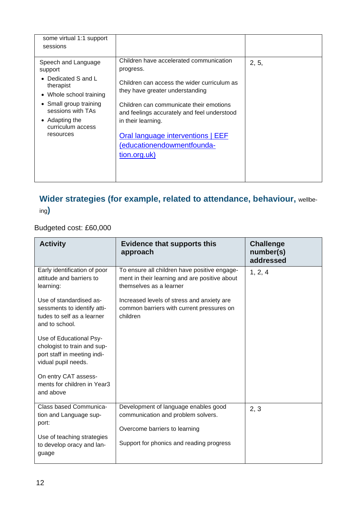| some virtual 1:1 support<br>sessions                                                                                                                                                           |                                                                                                                                                                                                                                                                                                                                           |       |
|------------------------------------------------------------------------------------------------------------------------------------------------------------------------------------------------|-------------------------------------------------------------------------------------------------------------------------------------------------------------------------------------------------------------------------------------------------------------------------------------------------------------------------------------------|-------|
| Speech and Language<br>support<br>Dedicated S and L<br>therapist<br>• Whole school training<br>• Small group training<br>sessions with TAs<br>• Adapting the<br>curriculum access<br>resources | Children have accelerated communication<br>progress.<br>Children can access the wider curriculum as<br>they have greater understanding<br>Children can communicate their emotions<br>and feelings accurately and feel understood<br>in their learning.<br>Oral language interventions   EEF<br>(educationendowmentfounda-<br>tion.org.uk) | 2, 5, |
|                                                                                                                                                                                                |                                                                                                                                                                                                                                                                                                                                           |       |

# **Wider strategies (for example, related to attendance, behaviour,** wellbe-

ing**)**

### Budgeted cost: £60,000

| <b>Activity</b>                                                                                              | <b>Evidence that supports this</b><br>approach                                                                           | <b>Challenge</b><br>number(s)<br>addressed |
|--------------------------------------------------------------------------------------------------------------|--------------------------------------------------------------------------------------------------------------------------|--------------------------------------------|
| Early identification of poor<br>attitude and barriers to<br>learning:                                        | To ensure all children have positive engage-<br>ment in their learning and are positive about<br>themselves as a learner | 1, 2, 4                                    |
| Use of standardised as-<br>sessments to identify atti-<br>tudes to self as a learner<br>and to school.       | Increased levels of stress and anxiety are<br>common barriers with current pressures on<br>children                      |                                            |
| Use of Educational Psy-<br>chologist to train and sup-<br>port staff in meeting indi-<br>vidual pupil needs. |                                                                                                                          |                                            |
| On entry CAT assess-<br>ments for children in Year3<br>and above                                             |                                                                                                                          |                                            |
| Class based Communica-<br>tion and Language sup-<br>port:                                                    | Development of language enables good<br>communication and problem solvers.<br>Overcome barriers to learning              | 2, 3                                       |
| Use of teaching strategies<br>to develop oracy and lan-<br>guage                                             | Support for phonics and reading progress                                                                                 |                                            |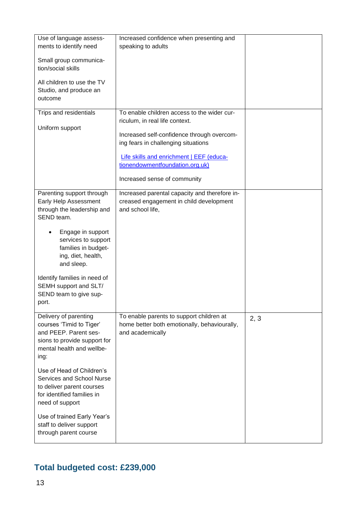| Use of language assess-<br>ments to identify need<br>Small group communica-<br>tion/social skills<br>All children to use the TV<br>Studio, and produce an<br>outcome                                                                                                                                                                                                        | Increased confidence when presenting and<br>speaking to adults                                                                                                                                                                                                                    |      |
|-----------------------------------------------------------------------------------------------------------------------------------------------------------------------------------------------------------------------------------------------------------------------------------------------------------------------------------------------------------------------------|-----------------------------------------------------------------------------------------------------------------------------------------------------------------------------------------------------------------------------------------------------------------------------------|------|
| Trips and residentials<br>Uniform support                                                                                                                                                                                                                                                                                                                                   | To enable children access to the wider cur-<br>riculum, in real life context.<br>Increased self-confidence through overcom-<br>ing fears in challenging situations<br>Life skills and enrichment   EEF (educa-<br>tionendowmentfoundation.org.uk)<br>Increased sense of community |      |
| Parenting support through<br>Early Help Assessment<br>through the leadership and<br>SEND team.<br>Engage in support<br>services to support<br>families in budget-<br>ing, diet, health,<br>and sleep.<br>Identify families in need of<br>SEMH support and SLT/<br>SEND team to give sup-<br>port.                                                                           | Increased parental capacity and therefore in-<br>creased engagement in child development<br>and school life,                                                                                                                                                                      |      |
| Delivery of parenting<br>courses 'Timid to Tiger'<br>and PEEP. Parent ses-<br>sions to provide support for<br>mental health and wellbe-<br>ing:<br>Use of Head of Children's<br>Services and School Nurse<br>to deliver parent courses<br>for identified families in<br>need of support<br>Use of trained Early Year's<br>staff to deliver support<br>through parent course | To enable parents to support children at<br>home better both emotionally, behaviourally,<br>and academically                                                                                                                                                                      | 2, 3 |

## **Total budgeted cost: £239,000**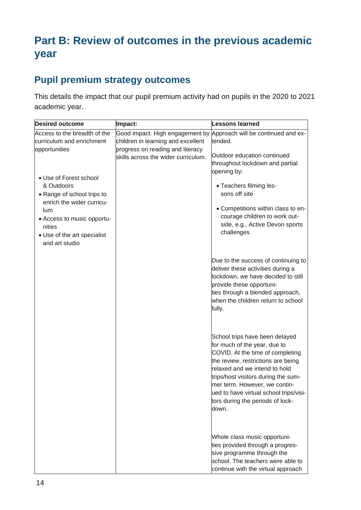# **Part B: Review of outcomes in the previous academic year**

## **Pupil premium strategy outcomes**

This details the impact that our pupil premium activity had on pupils in the 2020 to 2021 academic year.

| <b>Desired outcome</b>                                                                                                                                                        | Impact:                                                                | <b>Lessons learned</b>                                                                                                                                                                                                                                                                                                                   |
|-------------------------------------------------------------------------------------------------------------------------------------------------------------------------------|------------------------------------------------------------------------|------------------------------------------------------------------------------------------------------------------------------------------------------------------------------------------------------------------------------------------------------------------------------------------------------------------------------------------|
| Access to the breadth of the<br>curriculum and enrichment<br>opportunities                                                                                                    | children in learning and excellent<br>progress on reading and literacy | Good impact. High engagement by Approach will be continued and ex-<br>tended.                                                                                                                                                                                                                                                            |
|                                                                                                                                                                               | skills across the wider curriculum.                                    | Outdoor education continued<br>throughout lockdown and partial<br>opening by:                                                                                                                                                                                                                                                            |
| • Use of Forest school<br>& Outdoors<br>• Range of school trips to<br>enrich the wider curricu-<br>lum<br>• Access to music opportu-<br>nities<br>• Use of the art specialist |                                                                        | • Teachers filming les-<br>sons off site<br>• Competitions within class to en-<br>courage children to work out-<br>side, e.g., Active Devon sports<br>challenges                                                                                                                                                                         |
| and art studio                                                                                                                                                                |                                                                        | Due to the success of continuing to<br>deliver these activities during a<br>lockdown, we have decided to still<br>provide these opportuni-<br>ties through a blended approach,<br>when the children return to school<br>fully.                                                                                                           |
|                                                                                                                                                                               |                                                                        | School trips have been delayed<br>for much of the year, due to<br>COVID. At the time of completing<br>the review, restrictions are being<br>relaxed and we intend to hold<br>trips/host visitors during the sum-<br>mer term. However, we contin-<br>ued to have virtual school trips/visi-<br>tors during the periods of lock-<br>down. |
|                                                                                                                                                                               |                                                                        | Whole class music opportuni-<br>ties provided through a progres-<br>sive programme through the<br>school. The teachers were able to<br>continue with the virtual approach                                                                                                                                                                |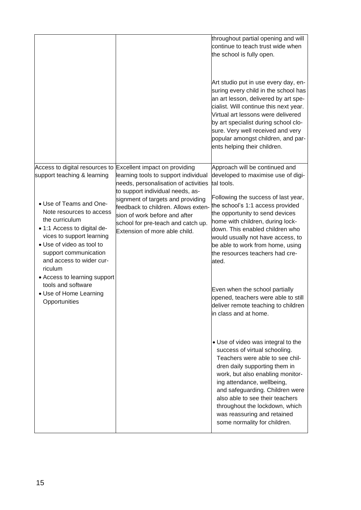|                                                                                                                                                                                                                                                                                                                                                                                                  |                                                                                                                                                                                                                                                                                                                                       | throughout partial opening and will<br>continue to teach trust wide when<br>the school is fully open.<br>Art studio put in use every day, en-<br>suring every child in the school has<br>an art lesson, delivered by art spe-<br>cialist. Will continue this next year.<br>Virtual art lessons were delivered<br>by art specialist during school clo-<br>sure. Very well received and very<br>popular amongst children, and par-<br>ents helping their children. |
|--------------------------------------------------------------------------------------------------------------------------------------------------------------------------------------------------------------------------------------------------------------------------------------------------------------------------------------------------------------------------------------------------|---------------------------------------------------------------------------------------------------------------------------------------------------------------------------------------------------------------------------------------------------------------------------------------------------------------------------------------|------------------------------------------------------------------------------------------------------------------------------------------------------------------------------------------------------------------------------------------------------------------------------------------------------------------------------------------------------------------------------------------------------------------------------------------------------------------|
| Access to digital resources to<br>support teaching & learning<br>• Use of Teams and One-<br>Note resources to access<br>the curriculum<br>• 1:1 Access to digital de-<br>vices to support learning<br>• Use of video as tool to<br>support communication<br>and access to wider cur-<br>riculum<br>• Access to learning support<br>tools and software<br>• Use of Home Learning<br>Opportunities | Excellent impact on providing<br>learning tools to support individual<br>needs, personalisation of activities<br>to support individual needs, as-<br>signment of targets and providing<br>feedback to children. Allows exten-<br>sion of work before and after<br>school for pre-teach and catch up.<br>Extension of more able child. | Approach will be continued and<br>developed to maximise use of digi-<br>tal tools.<br>Following the success of last year,<br>the school's 1:1 access provided<br>the opportunity to send devices<br>home with children, during lock-<br>down. This enabled children who<br>would usually not have access, to<br>be able to work from home, using<br>the resources teachers had cre-<br>ated.                                                                     |
|                                                                                                                                                                                                                                                                                                                                                                                                  |                                                                                                                                                                                                                                                                                                                                       | Even when the school partially<br>opened, teachers were able to still<br>deliver remote teaching to children<br>in class and at home.                                                                                                                                                                                                                                                                                                                            |
|                                                                                                                                                                                                                                                                                                                                                                                                  |                                                                                                                                                                                                                                                                                                                                       | • Use of video was integral to the<br>success of virtual schooling.<br>Teachers were able to see chil-<br>dren daily supporting them in<br>work, but also enabling monitor-<br>ing attendance, wellbeing,<br>and safeguarding. Children were<br>also able to see their teachers<br>throughout the lockdown, which<br>was reassuring and retained<br>some normality for children.                                                                                 |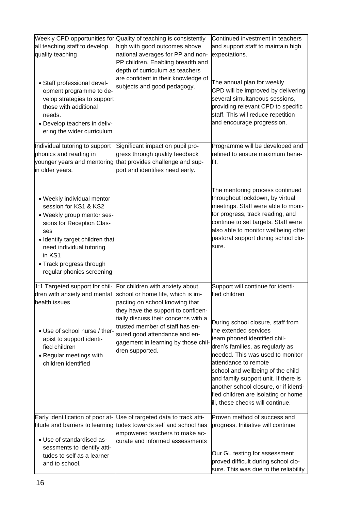|                                                                                                                                                                                                                                                         | Weekly CPD opportunities for Quality of teaching is consistently                                                                                                                  | Continued investment in teachers                                                                                                                                                                                                                                                                                                                                                            |
|---------------------------------------------------------------------------------------------------------------------------------------------------------------------------------------------------------------------------------------------------------|-----------------------------------------------------------------------------------------------------------------------------------------------------------------------------------|---------------------------------------------------------------------------------------------------------------------------------------------------------------------------------------------------------------------------------------------------------------------------------------------------------------------------------------------------------------------------------------------|
| all teaching staff to develop<br>quality teaching                                                                                                                                                                                                       | high with good outcomes above<br>national averages for PP and non-<br>PP children. Enabling breadth and<br>depth of curriculum as teachers<br>are confident in their knowledge of | and support staff to maintain high<br>expectations.                                                                                                                                                                                                                                                                                                                                         |
| • Staff professional devel-<br>opment programme to de-<br>velop strategies to support<br>those with additional<br>needs.<br>• Develop teachers in deliv-<br>ering the wider curriculum                                                                  | subjects and good pedagogy.                                                                                                                                                       | The annual plan for weekly<br>CPD will be improved by delivering<br>several simultaneous sessions,<br>providing relevant CPD to specific<br>staff. This will reduce repetition<br>and encourage progression.                                                                                                                                                                                |
| Individual tutoring to support<br>phonics and reading in<br>younger years and mentoring<br>in older years.                                                                                                                                              | Significant impact on pupil pro-<br>gress through quality feedback<br>that provides challenge and sup-<br>port and identifies need early.                                         | Programme will be developed and<br>refined to ensure maximum bene-<br>fit.                                                                                                                                                                                                                                                                                                                  |
| • Weekly individual mentor<br>session for KS1 & KS2<br>• Weekly group mentor ses-<br>sions for Reception Clas-<br>ses<br>• Identify target children that<br>need individual tutoring<br>in KS1<br>• Track progress through<br>regular phonics screening |                                                                                                                                                                                   | The mentoring process continued<br>throughout lockdown, by virtual<br>meetings. Staff were able to moni-<br>tor progress, track reading, and<br>continue to set targets. Staff were<br>also able to monitor wellbeing offer<br>pastoral support during school clo-<br>sure.                                                                                                                 |
| 1:1 Targeted support for chil-                                                                                                                                                                                                                          | For children with anxiety about                                                                                                                                                   | Support will continue for identi-                                                                                                                                                                                                                                                                                                                                                           |
| dren with anxiety and mental<br>health issues                                                                                                                                                                                                           | school or home life, which is im-<br>pacting on school knowing that<br>they have the support to confiden-                                                                         | fied children                                                                                                                                                                                                                                                                                                                                                                               |
| • Use of school nurse / ther-<br>apist to support identi-<br>fied children<br>• Regular meetings with<br>children identified                                                                                                                            | tially discuss their concerns with a<br>trusted member of staff has en-<br>sured good attendance and en-<br>gagement in learning by those chil-<br>dren supported.                | During school closure, staff from<br>the extended services<br>team phoned identified chil-<br>dren's families, as regularly as<br>needed. This was used to monitor<br>attendance to remote<br>school and wellbeing of the child<br>and family support unit. If there is<br>another school closure, or if identi-<br>fied children are isolating or home<br>ill, these checks will continue. |
| Early identification of poor at-                                                                                                                                                                                                                        | Use of targeted data to track atti-                                                                                                                                               | Proven method of success and                                                                                                                                                                                                                                                                                                                                                                |
| titude and barriers to learning<br>• Use of standardised as-                                                                                                                                                                                            | tudes towards self and school has<br>empowered teachers to make ac-<br>curate and informed assessments                                                                            | progress. Initiative will continue                                                                                                                                                                                                                                                                                                                                                          |
| sessments to identify atti-<br>tudes to self as a learner<br>and to school.                                                                                                                                                                             |                                                                                                                                                                                   | Our GL testing for assessment<br>proved difficult during school clo-<br>sure. This was due to the reliability                                                                                                                                                                                                                                                                               |